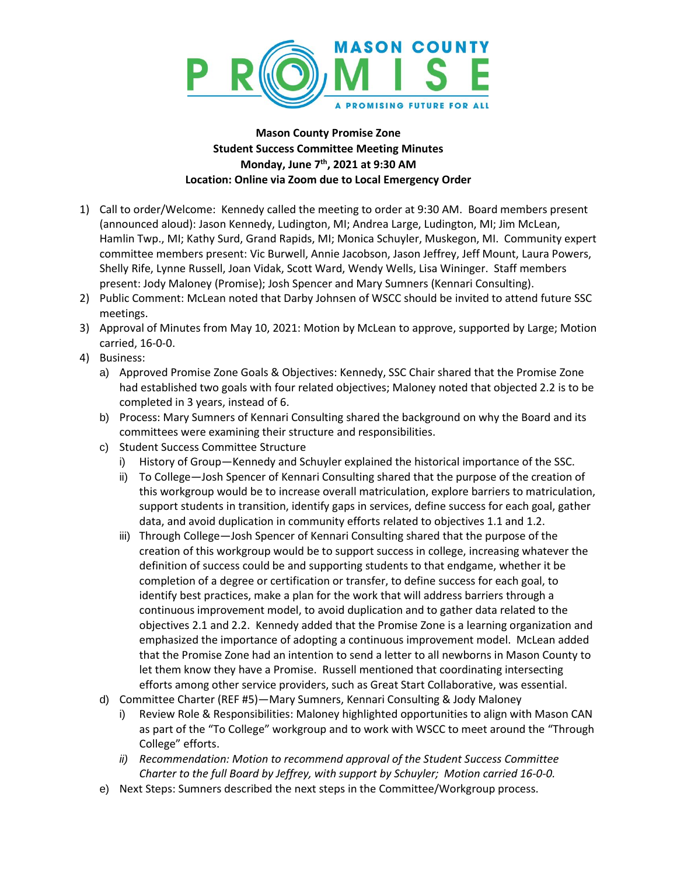

## **Mason County Promise Zone Student Success Committee Meeting Minutes Monday, June 7 th, 2021 at 9:30 AM Location: Online via Zoom due to Local Emergency Order**

- 1) Call to order/Welcome: Kennedy called the meeting to order at 9:30 AM. Board members present (announced aloud): Jason Kennedy, Ludington, MI; Andrea Large, Ludington, MI; Jim McLean, Hamlin Twp., MI; Kathy Surd, Grand Rapids, MI; Monica Schuyler, Muskegon, MI. Community expert committee members present: Vic Burwell, Annie Jacobson, Jason Jeffrey, Jeff Mount, Laura Powers, Shelly Rife, Lynne Russell, Joan Vidak, Scott Ward, Wendy Wells, Lisa Wininger. Staff members present: Jody Maloney (Promise); Josh Spencer and Mary Sumners (Kennari Consulting).
- 2) Public Comment: McLean noted that Darby Johnsen of WSCC should be invited to attend future SSC meetings.
- 3) Approval of Minutes from May 10, 2021: Motion by McLean to approve, supported by Large; Motion carried, 16-0-0.
- 4) Business:
	- a) Approved Promise Zone Goals & Objectives: Kennedy, SSC Chair shared that the Promise Zone had established two goals with four related objectives; Maloney noted that objected 2.2 is to be completed in 3 years, instead of 6.
	- b) Process: Mary Sumners of Kennari Consulting shared the background on why the Board and its committees were examining their structure and responsibilities.
	- c) Student Success Committee Structure
		- i) History of Group—Kennedy and Schuyler explained the historical importance of the SSC.
		- ii) To College—Josh Spencer of Kennari Consulting shared that the purpose of the creation of this workgroup would be to increase overall matriculation, explore barriers to matriculation, support students in transition, identify gaps in services, define success for each goal, gather data, and avoid duplication in community efforts related to objectives 1.1 and 1.2.
		- iii) Through College—Josh Spencer of Kennari Consulting shared that the purpose of the creation of this workgroup would be to support success in college, increasing whatever the definition of success could be and supporting students to that endgame, whether it be completion of a degree or certification or transfer, to define success for each goal, to identify best practices, make a plan for the work that will address barriers through a continuous improvement model, to avoid duplication and to gather data related to the objectives 2.1 and 2.2. Kennedy added that the Promise Zone is a learning organization and emphasized the importance of adopting a continuous improvement model. McLean added that the Promise Zone had an intention to send a letter to all newborns in Mason County to let them know they have a Promise. Russell mentioned that coordinating intersecting efforts among other service providers, such as Great Start Collaborative, was essential.
	- d) Committee Charter (REF #5)—Mary Sumners, Kennari Consulting & Jody Maloney
		- i) Review Role & Responsibilities: Maloney highlighted opportunities to align with Mason CAN as part of the "To College" workgroup and to work with WSCC to meet around the "Through College" efforts.
		- *ii) Recommendation: Motion to recommend approval of the Student Success Committee Charter to the full Board by Jeffrey, with support by Schuyler; Motion carried 16-0-0.*
	- e) Next Steps: Sumners described the next steps in the Committee/Workgroup process.